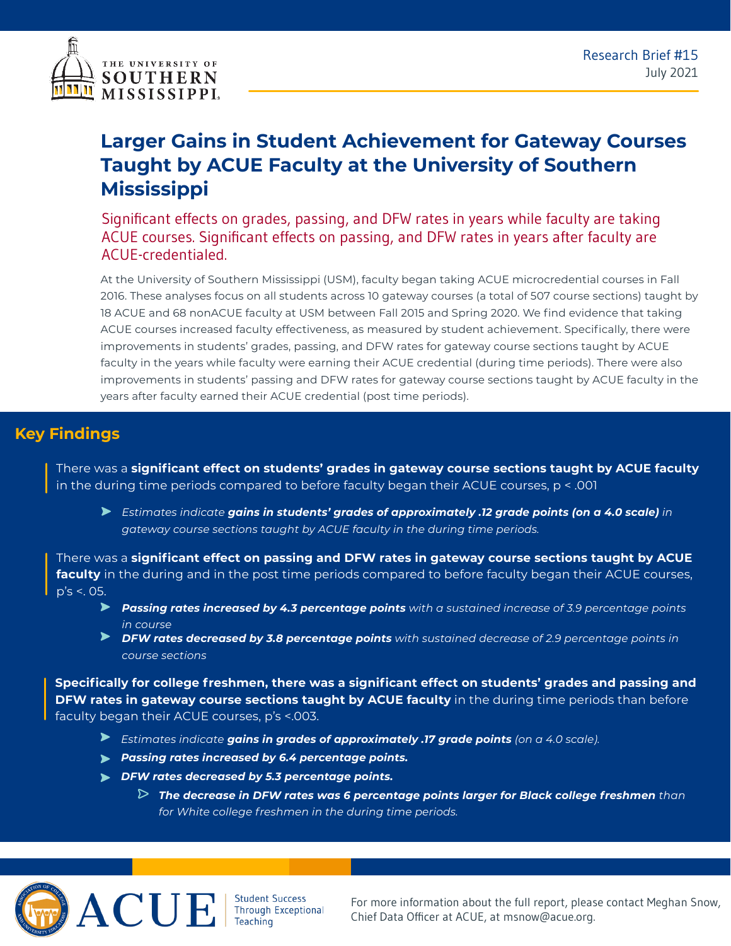

## **Larger Gains in Student Achievement for Gateway Courses Taught by ACUE Faculty at the University of Southern Mississippi**

Significant effects on grades, passing, and DFW rates in years while faculty are taking ACUE courses. Significant effects on passing, and DFW rates in years after faculty are ACUE-credentialed.

At the University of Southern Mississippi (USM), faculty began taking ACUE microcredential courses in Fall 2016. These analyses focus on all students across 10 gateway courses (a total of 507 course sections) taught by 18 ACUE and 68 nonACUE faculty at USM between Fall 2015 and Spring 2020. We find evidence that taking ACUE courses increased faculty effectiveness, as measured by student achievement. Specifically, there were improvements in students' grades, passing, and DFW rates for gateway course sections taught by ACUE faculty in the years while faculty were earning their ACUE credential (during time periods). There were also improvements in students' passing and DFW rates for gateway course sections taught by ACUE faculty in the years after faculty earned their ACUE credential (post time periods).

## **Key Findings**

There was a **significant effect on students' grades in gateway course sections taught by ACUE faculty**  in the during time periods compared to before faculty began their ACUE courses, p < .001

*Estimates indicate gains in students' grades of approximately .12 grade points (on a 4.0 scale) in gateway course sections taught by ACUE faculty in the during time periods.*

There was a **significant effect on passing and DFW rates in gateway course sections taught by ACUE faculty** in the during and in the post time periods compared to before faculty began their ACUE courses, p's <. 05.

- *Passing rates increased by 4.3 percentage points with a sustained increase of 3.9 percentage points in course*
- *DFW rates decreased by 3.8 percentage points with sustained decrease of 2.9 percentage points in course sections*

**Specifically for college freshmen, there was a significant effect on students' grades and passing and DFW rates in gateway course sections taught by ACUE faculty** in the during time periods than before faculty began their ACUE courses, p's <.003.

- *Estimates indicate gains in grades of approximately .17 grade points (on a 4.0 scale).*
- *Passing rates increased by 6.4 percentage points.*
- *DFW rates decreased by 5.3 percentage points.*
	- $\triangleright$  The decrease in DFW rates was 6 percentage points larger for Black college freshmen <code>than</code> *for White college freshmen in the during time periods.*



Student Success<br>Through Exceptional **Teaching** 

For more information about the full report, please contact Meghan Snow, Chief Data Officer at ACUE, at msnow@acue.org.